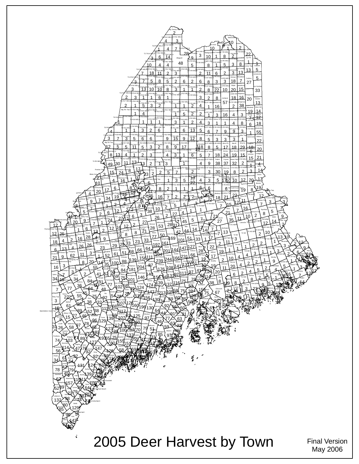